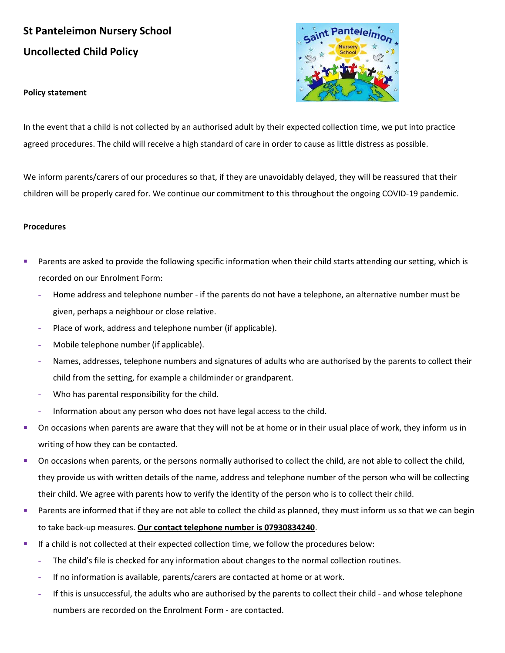## **St Panteleimon Nursery School Uncollected Child Policy**

## **Policy statement**



In the event that a child is not collected by an authorised adult by their expected collection time, we put into practice agreed procedures. The child will receive a high standard of care in order to cause as little distress as possible.

We inform parents/carers of our procedures so that, if they are unavoidably delayed, they will be reassured that their children will be properly cared for. We continue our commitment to this throughout the ongoing COVID-19 pandemic.

## **Procedures**

- Parents are asked to provide the following specific information when their child starts attending our setting, which is recorded on our Enrolment Form:
	- **-** Home address and telephone number if the parents do not have a telephone, an alternative number must be given, perhaps a neighbour or close relative.
	- **-** Place of work, address and telephone number (if applicable).
	- **-** Mobile telephone number (if applicable).
	- **-** Names, addresses, telephone numbers and signatures of adults who are authorised by the parents to collect their child from the setting, for example a childminder or grandparent.
	- **-** Who has parental responsibility for the child.
	- **-** Information about any person who does not have legal access to the child.
- On occasions when parents are aware that they will not be at home or in their usual place of work, they inform us in writing of how they can be contacted.
- **•** On occasions when parents, or the persons normally authorised to collect the child, are not able to collect the child, they provide us with written details of the name, address and telephone number of the person who will be collecting their child. We agree with parents how to verify the identity of the person who is to collect their child.
- Parents are informed that if they are not able to collect the child as planned, they must inform us so that we can begin to take back-up measures. **Our contact telephone number is 07930834240**.
- If a child is not collected at their expected collection time, we follow the procedures below:
	- **-** The child's file is checked for any information about changes to the normal collection routines.
	- **-** If no information is available, parents/carers are contacted at home or at work.
	- **-** If this is unsuccessful, the adults who are authorised by the parents to collect their child and whose telephone numbers are recorded on the Enrolment Form - are contacted.